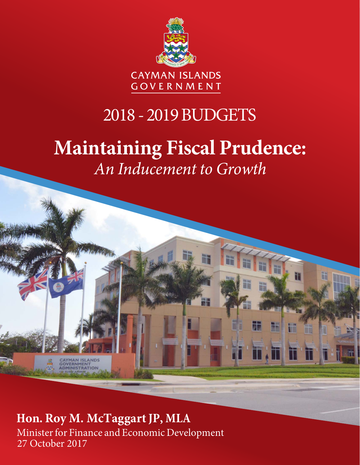

# 2018 - 2019 BUDGETS

# **Maintaining Fiscal Prudence:** *An Inducement to Growth*

E

T

**Hon. Roy M. McTaggart JP, MLA** Minister for Finance and Economic Development 27 October 2017

CAYMAN ISLANDS<br>GOVERNMENT<br>ADMINISTRATION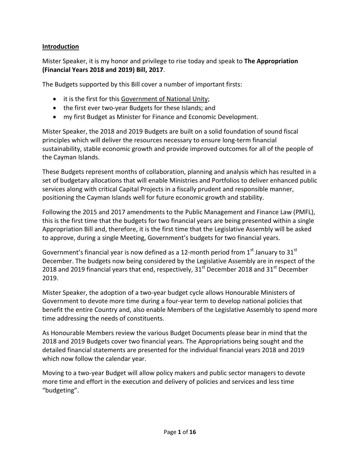#### **Introduction**

Mister Speaker, it is my honor and privilege to rise today and speak to **The Appropriation (Financial Years 2018 and 2019) Bill, 2017**.

The Budgets supported by this Bill cover a number of important firsts:

- it is the first for this Government of National Unity;
- the first ever two-year Budgets for these Islands; and
- my first Budget as Minister for Finance and Economic Development.

Mister Speaker, the 2018 and 2019 Budgets are built on a solid foundation of sound fiscal principles which will deliver the resources necessary to ensure long-term financial sustainability, stable economic growth and provide improved outcomes for all of the people of the Cayman Islands.

These Budgets represent months of collaboration, planning and analysis which has resulted in a set of budgetary allocations that will enable Ministries and Portfolios to deliver enhanced public services along with critical Capital Projects in a fiscally prudent and responsible manner, positioning the Cayman Islands well for future economic growth and stability.

Following the 2015 and 2017 amendments to the Public Management and Finance Law (PMFL), this is the first time that the budgets for two financial years are being presented within a single Appropriation Bill and, therefore, it is the first time that the Legislative Assembly will be asked to approve, during a single Meeting, Government's budgets for two financial years.

Government's financial year is now defined as a 12-month period from  $1<sup>st</sup>$  January to 31 $<sup>st</sup>$ </sup> December. The budgets now being considered by the Legislative Assembly are in respect of the 2018 and 2019 financial years that end, respectively,  $31<sup>st</sup>$  December 2018 and  $31<sup>st</sup>$  December 2019.

Mister Speaker, the adoption of a two-year budget cycle allows Honourable Ministers of Government to devote more time during a four-year term to develop national policies that benefit the entire Country and, also enable Members of the Legislative Assembly to spend more time addressing the needs of constituents.

As Honourable Members review the various Budget Documents please bear in mind that the 2018 and 2019 Budgets cover two financial years. The Appropriations being sought and the detailed financial statements are presented for the individual financial years 2018 and 2019 which now follow the calendar year.

Moving to a two-year Budget will allow policy makers and public sector managers to devote more time and effort in the execution and delivery of policies and services and less time "budgeting".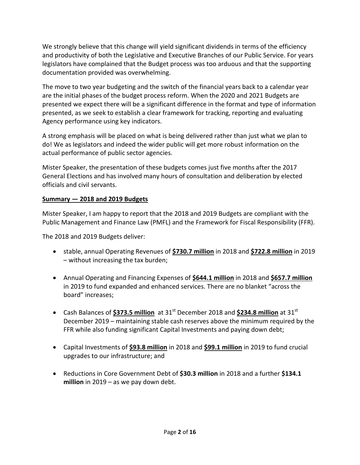We strongly believe that this change will yield significant dividends in terms of the efficiency and productivity of both the Legislative and Executive Branches of our Public Service. For years legislators have complained that the Budget process was too arduous and that the supporting documentation provided was overwhelming.

The move to two year budgeting and the switch of the financial years back to a calendar year are the initial phases of the budget process reform. When the 2020 and 2021 Budgets are presented we expect there will be a significant difference in the format and type of information presented, as we seek to establish a clear framework for tracking, reporting and evaluating Agency performance using key indicators.

A strong emphasis will be placed on what is being delivered rather than just what we plan to do! We as legislators and indeed the wider public will get more robust information on the actual performance of public sector agencies.

Mister Speaker, the presentation of these budgets comes just five months after the 2017 General Elections and has involved many hours of consultation and deliberation by elected officials and civil servants.

#### **Summary — 2018 and 2019 Budgets**

Mister Speaker, I am happy to report that the 2018 and 2019 Budgets are compliant with the Public Management and Finance Law (PMFL) and the Framework for Fiscal Responsibility (FFR).

The 2018 and 2019 Budgets deliver:

- stable, annual Operating Revenues of **\$730.7 million** in 2018 and **\$722.8 million** in 2019 – without increasing the tax burden;
- Annual Operating and Financing Expenses of **\$644.1 million** in 2018 and **\$657.7 million** in 2019 to fund expanded and enhanced services. There are no blanket "across the board" increases;
- Cash Balances of \$373.5 million at 31<sup>st</sup> December 2018 and \$234.8 million at 31<sup>st</sup> December 2019 – maintaining stable cash reserves above the minimum required by the FFR while also funding significant Capital Investments and paying down debt;
- Capital Investments of **\$93.8 million** in 2018 and **\$99.1 million** in 2019 to fund crucial upgrades to our infrastructure; and
- Reductions in Core Government Debt of **\$30.3 million** in 2018 and a further **\$134.1 million** in 2019 – as we pay down debt.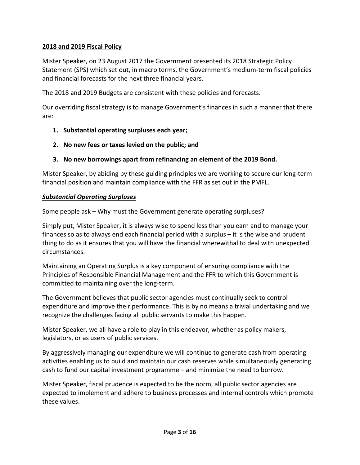#### **2018 and 2019 Fiscal Policy**

Mister Speaker, on 23 August 2017 the Government presented its 2018 Strategic Policy Statement (SPS) which set out, in macro terms, the Government's medium-term fiscal policies and financial forecasts for the next three financial years.

The 2018 and 2019 Budgets are consistent with these policies and forecasts.

Our overriding fiscal strategy is to manage Government's finances in such a manner that there are:

- **1. Substantial operating surpluses each year;**
- **2. No new fees or taxes levied on the public; and**
- **3. No new borrowings apart from refinancing an element of the 2019 Bond.**

Mister Speaker, by abiding by these guiding principles we are working to secure our long-term financial position and maintain compliance with the FFR as set out in the PMFL.

#### *Substantial Operating Surpluses*

Some people ask – Why must the Government generate operating surpluses?

Simply put, Mister Speaker, it is always wise to spend less than you earn and to manage your finances so as to always end each financial period with a surplus – it is the wise and prudent thing to do as it ensures that you will have the financial wherewithal to deal with unexpected circumstances.

Maintaining an Operating Surplus is a key component of ensuring compliance with the Principles of Responsible Financial Management and the FFR to which this Government is committed to maintaining over the long-term.

The Government believes that public sector agencies must continually seek to control expenditure and improve their performance. This is by no means a trivial undertaking and we recognize the challenges facing all public servants to make this happen.

Mister Speaker, we all have a role to play in this endeavor, whether as policy makers, legislators, or as users of public services.

By aggressively managing our expenditure we will continue to generate cash from operating activities enabling us to build and maintain our cash reserves while simultaneously generating cash to fund our capital investment programme – and minimize the need to borrow.

Mister Speaker, fiscal prudence is expected to be the norm, all public sector agencies are expected to implement and adhere to business processes and internal controls which promote these values.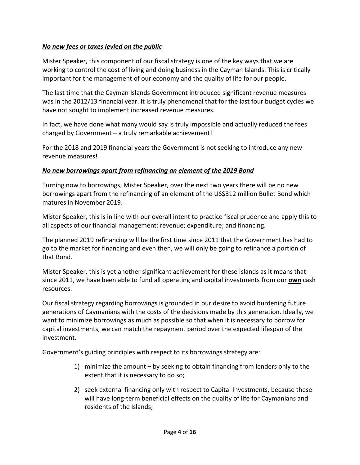#### *No new fees or taxes levied on the public*

Mister Speaker, this component of our fiscal strategy is one of the key ways that we are working to control the cost of living and doing business in the Cayman Islands. This is critically important for the management of our economy and the quality of life for our people.

The last time that the Cayman Islands Government introduced significant revenue measures was in the 2012/13 financial year. It is truly phenomenal that for the last four budget cycles we have not sought to implement increased revenue measures.

In fact, we have done what many would say is truly impossible and actually reduced the fees charged by Government – a truly remarkable achievement!

For the 2018 and 2019 financial years the Government is not seeking to introduce any new revenue measures!

#### *No new borrowings apart from refinancing an element of the 2019 Bond*

Turning now to borrowings, Mister Speaker, over the next two years there will be no new borrowings apart from the refinancing of an element of the US\$312 million Bullet Bond which matures in November 2019.

Mister Speaker, this is in line with our overall intent to practice fiscal prudence and apply this to all aspects of our financial management: revenue; expenditure; and financing.

The planned 2019 refinancing will be the first time since 2011 that the Government has had to go to the market for financing and even then, we will only be going to refinance a portion of that Bond.

Mister Speaker, this is yet another significant achievement for these Islands as it means that since 2011, we have been able to fund all operating and capital investments from our **own** cash resources.

Our fiscal strategy regarding borrowings is grounded in our desire to avoid burdening future generations of Caymanians with the costs of the decisions made by this generation. Ideally, we want to minimize borrowings as much as possible so that when it is necessary to borrow for capital investments, we can match the repayment period over the expected lifespan of the investment.

Government's guiding principles with respect to its borrowings strategy are:

- 1) minimize the amount by seeking to obtain financing from lenders only to the extent that it is necessary to do so;
- 2) seek external financing only with respect to Capital Investments, because these will have long-term beneficial effects on the quality of life for Caymanians and residents of the Islands;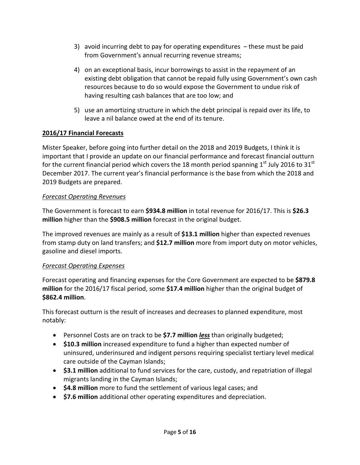- 3) avoid incurring debt to pay for operating expenditures these must be paid from Government's annual recurring revenue streams;
- 4) on an exceptional basis, incur borrowings to assist in the repayment of an existing debt obligation that cannot be repaid fully using Government's own cash resources because to do so would expose the Government to undue risk of having resulting cash balances that are too low; and
- 5) use an amortizing structure in which the debt principal is repaid over its life, to leave a nil balance owed at the end of its tenure.

#### **2016/17 Financial Forecasts**

Mister Speaker, before going into further detail on the 2018 and 2019 Budgets, I think it is important that I provide an update on our financial performance and forecast financial outturn for the current financial period which covers the 18 month period spanning  $1<sup>st</sup>$  July 2016 to 31<sup>st</sup> December 2017. The current year's financial performance is the base from which the 2018 and 2019 Budgets are prepared.

#### *Forecast Operating Revenues*

The Government is forecast to earn **\$934.8 million** in total revenue for 2016/17. This is **\$26.3 million** higher than the **\$908.5 million** forecast in the original budget.

The improved revenues are mainly as a result of **\$13.1 million** higher than expected revenues from stamp duty on land transfers; and **\$12.7 million** more from import duty on motor vehicles, gasoline and diesel imports.

#### *Forecast Operating Expenses*

Forecast operating and financing expenses for the Core Government are expected to be **\$879.8 million** for the 2016/17 fiscal period, some **\$17.4 million** higher than the original budget of **\$862.4 million**.

This forecast outturn is the result of increases and decreases to planned expenditure, most notably:

- Personnel Costs are on track to be **\$7.7 million** *less* than originally budgeted;
- **\$10.3 million** increased expenditure to fund a higher than expected number of uninsured, underinsured and indigent persons requiring specialist tertiary level medical care outside of the Cayman Islands;
- **\$3.1 million** additional to fund services for the care, custody, and repatriation of illegal migrants landing in the Cayman Islands;
- **\$4.8 million** more to fund the settlement of various legal cases; and
- **\$7.6 million** additional other operating expenditures and depreciation.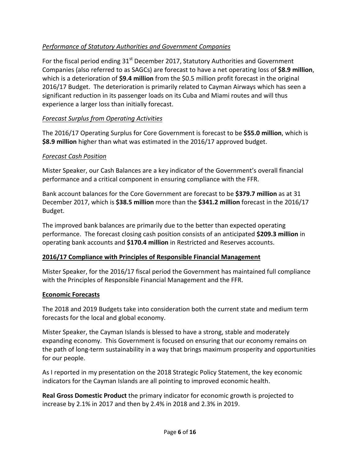### *Performance of Statutory Authorities and Government Companies*

For the fiscal period ending  $31<sup>st</sup>$  December 2017, Statutory Authorities and Government Companies (also referred to as SAGCs) are forecast to have a net operating loss of **\$8.9 million**, which is a deterioration of **\$9.4 million** from the \$0.5 million profit forecast in the original 2016/17 Budget. The deterioration is primarily related to Cayman Airways which has seen a significant reduction in its passenger loads on its Cuba and Miami routes and will thus experience a larger loss than initially forecast.

#### *Forecast Surplus from Operating Activities*

The 2016/17 Operating Surplus for Core Government is forecast to be **\$55.0 million**, which is **\$8.9 million** higher than what was estimated in the 2016/17 approved budget.

#### *Forecast Cash Position*

Mister Speaker, our Cash Balances are a key indicator of the Government's overall financial performance and a critical component in ensuring compliance with the FFR.

Bank account balances for the Core Government are forecast to be **\$379.7 million** as at 31 December 2017, which is **\$38.5 million** more than the **\$341.2 million** forecast in the 2016/17 Budget.

The improved bank balances are primarily due to the better than expected operating performance. The forecast closing cash position consists of an anticipated **\$209.3 million** in operating bank accounts and **\$170.4 million** in Restricted and Reserves accounts.

#### **2016/17 Compliance with Principles of Responsible Financial Management**

Mister Speaker, for the 2016/17 fiscal period the Government has maintained full compliance with the Principles of Responsible Financial Management and the FFR.

#### **Economic Forecasts**

The 2018 and 2019 Budgets take into consideration both the current state and medium term forecasts for the local and global economy.

Mister Speaker, the Cayman Islands is blessed to have a strong, stable and moderately expanding economy. This Government is focused on ensuring that our economy remains on the path of long-term sustainability in a way that brings maximum prosperity and opportunities for our people.

As I reported in my presentation on the 2018 Strategic Policy Statement, the key economic indicators for the Cayman Islands are all pointing to improved economic health.

**Real Gross Domestic Product** the primary indicator for economic growth is projected to increase by 2.1% in 2017 and then by 2.4% in 2018 and 2.3% in 2019.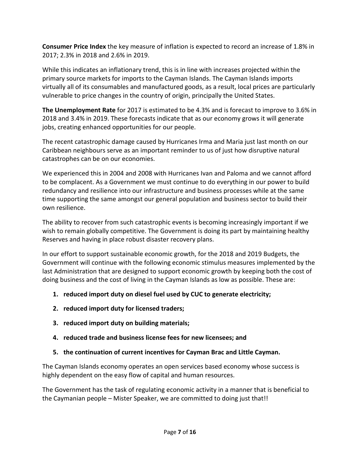**Consumer Price Index** the key measure of inflation is expected to record an increase of 1.8% in 2017; 2.3% in 2018 and 2.6% in 2019.

While this indicates an inflationary trend, this is in line with increases projected within the primary source markets for imports to the Cayman Islands. The Cayman Islands imports virtually all of its consumables and manufactured goods, as a result, local prices are particularly vulnerable to price changes in the country of origin, principally the United States.

**The Unemployment Rate** for 2017 is estimated to be 4.3% and is forecast to improve to 3.6% in 2018 and 3.4% in 2019. These forecasts indicate that as our economy grows it will generate jobs, creating enhanced opportunities for our people.

The recent catastrophic damage caused by Hurricanes Irma and Maria just last month on our Caribbean neighbours serve as an important reminder to us of just how disruptive natural catastrophes can be on our economies.

We experienced this in 2004 and 2008 with Hurricanes Ivan and Paloma and we cannot afford to be complacent. As a Government we must continue to do everything in our power to build redundancy and resilience into our infrastructure and business processes while at the same time supporting the same amongst our general population and business sector to build their own resilience.

The ability to recover from such catastrophic events is becoming increasingly important if we wish to remain globally competitive. The Government is doing its part by maintaining healthy Reserves and having in place robust disaster recovery plans.

In our effort to support sustainable economic growth, for the 2018 and 2019 Budgets, the Government will continue with the following economic stimulus measures implemented by the last Administration that are designed to support economic growth by keeping both the cost of doing business and the cost of living in the Cayman Islands as low as possible. These are:

- **1. reduced import duty on diesel fuel used by CUC to generate electricity;**
- **2. reduced import duty for licensed traders;**
- **3. reduced import duty on building materials;**
- **4. reduced trade and business license fees for new licensees; and**
- **5. the continuation of current incentives for Cayman Brac and Little Cayman.**

The Cayman Islands economy operates an open services based economy whose success is highly dependent on the easy flow of capital and human resources.

The Government has the task of regulating economic activity in a manner that is beneficial to the Caymanian people – Mister Speaker, we are committed to doing just that!!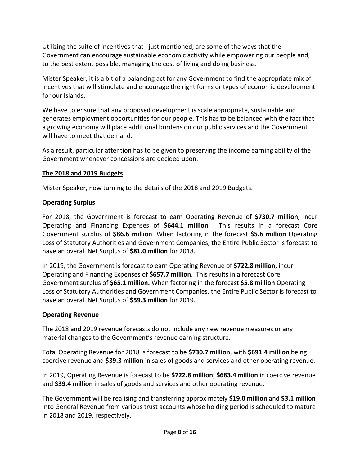Utilizing the suite of incentives that I just mentioned, are some of the ways that the Government can encourage sustainable economic activity while empowering our people and, to the best extent possible, managing the cost of living and doing business.

Mister Speaker, it is a bit of a balancing act for any Government to find the appropriate mix of incentives that will stimulate and encourage the right forms or types of economic development for our Islands.

We have to ensure that any proposed development is scale appropriate, sustainable and generates employment opportunities for our people. This has to be balanced with the fact that a growing economy will place additional burdens on our public services and the Government will have to meet that demand.

As a result, particular attention has to be given to preserving the income earning ability of the Government whenever concessions are decided upon.

#### **The 2018 and 2019 Budgets**

Mister Speaker, now turning to the details of the 2018 and 2019 Budgets.

#### **Operating Surplus**

For 2018, the Government is forecast to earn Operating Revenue of **\$730.7 million**, incur Operating and Financing Expenses of **\$644.1 million**. This results in a forecast Core Government surplus of **\$86.6 million**. When factoring in the forecast **\$5.6 million** Operating Loss of Statutory Authorities and Government Companies, the Entire Public Sector is forecast to have an overall Net Surplus of **\$81.0 million** for 2018.

In 2019, the Government is forecast to earn Operating Revenue of **\$722.8 million**, incur Operating and Financing Expenses of **\$657.7 million**. This results in a forecast Core Government surplus of **\$65.1 million.** When factoring in the forecast **\$5.8 million** Operating Loss of Statutory Authorities and Government Companies, the Entire Public Sector is forecast to have an overall Net Surplus of **\$59.3 million** for 2019.

#### **Operating Revenue**

The 2018 and 2019 revenue forecasts do not include any new revenue measures or any material changes to the Government's revenue earning structure.

Total Operating Revenue for 2018 is forecast to be **\$730.7 million**, with **\$691.4 million** being coercive revenue and **\$39.3 million** in sales of goods and services and other operating revenue.

In 2019, Operating Revenue is forecast to be **\$722.8 million**; **\$683.4 million** in coercive revenue and **\$39.4 million** in sales of goods and services and other operating revenue.

The Government will be realising and transferring approximately **\$19.0 million** and **\$3.1 million** into General Revenue from various trust accounts whose holding period is scheduled to mature in 2018 and 2019, respectively.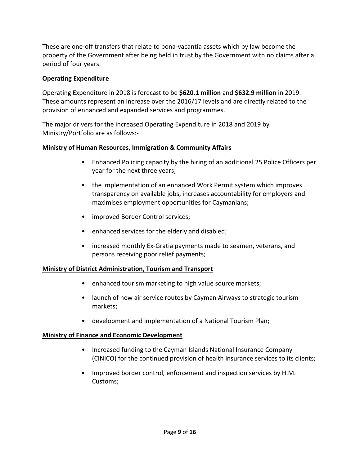These are one-off transfers that relate to bona-vacantia assets which by law become the property of the Government after being held in trust by the Government with no claims after a period of four years.

#### **Operating Expenditure**

Operating Expenditure in 2018 is forecast to be **\$620.1 million** and **\$632.9 million** in 2019. These amounts represent an increase over the 2016/17 levels and are directly related to the provision of enhanced and expanded services and programmes.

The major drivers for the increased Operating Expenditure in 2018 and 2019 by Ministry/Portfolio are as follows:-

#### **Ministry of Human Resources, Immigration & Community Affairs**

- Enhanced Policing capacity by the hiring of an additional 25 Police Officers per year for the next three years;
- the implementation of an enhanced Work Permit system which improves transparency on available jobs, increases accountability for employers and maximises employment opportunities for Caymanians;
- improved Border Control services;
- enhanced services for the elderly and disabled;
- increased monthly Ex-Gratia payments made to seamen, veterans, and persons receiving poor relief payments;

#### **Ministry of District Administration, Tourism and Transport**

- enhanced tourism marketing to high value source markets;
- launch of new air service routes by Cayman Airways to strategic tourism markets;
- development and implementation of a National Tourism Plan;

#### **Ministry of Finance and Economic Development**

- Increased funding to the Cayman Islands National Insurance Company (CINICO) for the continued provision of health insurance services to its clients;
- Improved border control, enforcement and inspection services by H.M. Customs;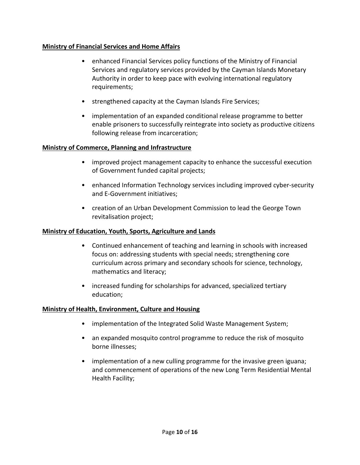#### **Ministry of Financial Services and Home Affairs**

- enhanced Financial Services policy functions of the Ministry of Financial Services and regulatory services provided by the Cayman Islands Monetary Authority in order to keep pace with evolving international regulatory requirements;
- strengthened capacity at the Cayman Islands Fire Services;
- implementation of an expanded conditional release programme to better enable prisoners to successfully reintegrate into society as productive citizens following release from incarceration;

#### **Ministry of Commerce, Planning and Infrastructure**

- improved project management capacity to enhance the successful execution of Government funded capital projects;
- enhanced Information Technology services including improved cyber-security and E-Government initiatives;
- creation of an Urban Development Commission to lead the George Town revitalisation project;

#### **Ministry of Education, Youth, Sports, Agriculture and Lands**

- Continued enhancement of teaching and learning in schools with increased focus on: addressing students with special needs; strengthening core curriculum across primary and secondary schools for science, technology, mathematics and literacy;
- increased funding for scholarships for advanced, specialized tertiary education;

#### **Ministry of Health, Environment, Culture and Housing**

- implementation of the Integrated Solid Waste Management System;
- an expanded mosquito control programme to reduce the risk of mosquito borne illnesses;
- implementation of a new culling programme for the invasive green iguana; and commencement of operations of the new Long Term Residential Mental Health Facility;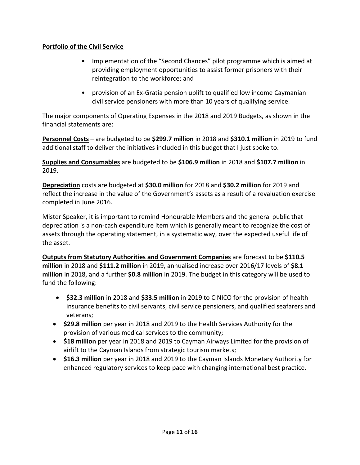#### **Portfolio of the Civil Service**

- Implementation of the "Second Chances" pilot programme which is aimed at providing employment opportunities to assist former prisoners with their reintegration to the workforce; and
- provision of an Ex-Gratia pension uplift to qualified low income Caymanian civil service pensioners with more than 10 years of qualifying service.

The major components of Operating Expenses in the 2018 and 2019 Budgets, as shown in the financial statements are:

**Personnel Costs** – are budgeted to be **\$299.7 million** in 2018 and **\$310.1 million** in 2019 to fund additional staff to deliver the initiatives included in this budget that I just spoke to.

**Supplies and Consumables** are budgeted to be **\$106.9 million** in 2018 and **\$107.7 million** in 2019.

**Depreciation** costs are budgeted at **\$30.0 million** for 2018 and **\$30.2 million** for 2019 and reflect the increase in the value of the Government's assets as a result of a revaluation exercise completed in June 2016.

Mister Speaker, it is important to remind Honourable Members and the general public that depreciation is a non-cash expenditure item which is generally meant to recognize the cost of assets through the operating statement, in a systematic way, over the expected useful life of the asset.

**Outputs from Statutory Authorities and Government Companies** are forecast to be **\$110.5 million** in 2018 and **\$111.2 million** in 2019, annualised increase over 2016/17 levels of **\$8.1 million** in 2018, and a further **\$0.8 million** in 2019. The budget in this category will be used to fund the following:

- **\$32.3 million** in 2018 and **\$33.5 million** in 2019 to CINICO for the provision of health insurance benefits to civil servants, civil service pensioners, and qualified seafarers and veterans;
- **\$29.8 million** per year in 2018 and 2019 to the Health Services Authority for the provision of various medical services to the community;
- **\$18 million** per year in 2018 and 2019 to Cayman Airways Limited for the provision of airlift to the Cayman Islands from strategic tourism markets;
- **\$16.3 million** per year in 2018 and 2019 to the Cayman Islands Monetary Authority for enhanced regulatory services to keep pace with changing international best practice.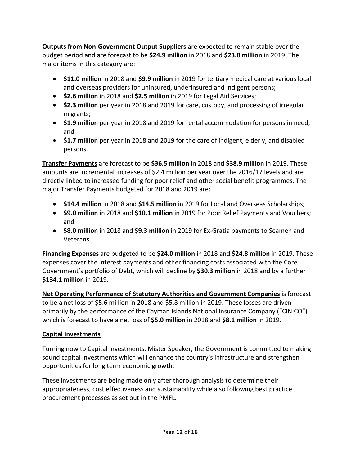**Outputs from Non-Government Output Suppliers** are expected to remain stable over the budget period and are forecast to be **\$24.9 million** in 2018 and **\$23.8 million** in 2019. The major items in this category are:

- **\$11.0 million** in 2018 and **\$9.9 million** in 2019 for tertiary medical care at various local and overseas providers for uninsured, underinsured and indigent persons;
- **\$2.6 million** in 2018 and **\$2.5 million** in 2019 for Legal Aid Services;
- **\$2.3 million** per year in 2018 and 2019 for care, custody, and processing of irregular migrants;
- **\$1.9 million** per year in 2018 and 2019 for rental accommodation for persons in need; and
- **\$1.7 million** per year in 2018 and 2019 for the care of indigent, elderly, and disabled persons.

**Transfer Payments** are forecast to be **\$36.5 million** in 2018 and **\$38.9 million** in 2019. These amounts are incremental increases of \$2.4 million per year over the 2016/17 levels and are directly linked to increased funding for poor relief and other social benefit programmes. The major Transfer Payments budgeted for 2018 and 2019 are:

- **\$14.4 million** in 2018 and **\$14.5 million** in 2019 for Local and Overseas Scholarships;
- **\$9.0 million** in 2018 and **\$10.1 million** in 2019 for Poor Relief Payments and Vouchers; and
- **\$8.0 million** in 2018 and **\$9.3 million** in 2019 for Ex-Gratia payments to Seamen and Veterans.

**Financing Expenses** are budgeted to be **\$24.0 million** in 2018 and **\$24.8 million** in 2019. These expenses cover the interest payments and other financing costs associated with the Core Government's portfolio of Debt, which will decline by **\$30.3 million** in 2018 and by a further **\$134.1 million** in 2019.

**Net Operating Performance of Statutory Authorities and Government Companies** is forecast to be a net loss of \$5.6 million in 2018 and \$5.8 million in 2019. These losses are driven primarily by the performance of the Cayman Islands National Insurance Company ("CINICO") which is forecast to have a net loss of **\$5.0 million** in 2018 and **\$8.1 million** in 2019.

## **Capital Investments**

Turning now to Capital Investments, Mister Speaker, the Government is committed to making sound capital investments which will enhance the country's infrastructure and strengthen opportunities for long term economic growth.

These investments are being made only after thorough analysis to determine their appropriateness, cost effectiveness and sustainability while also following best practice procurement processes as set out in the PMFL.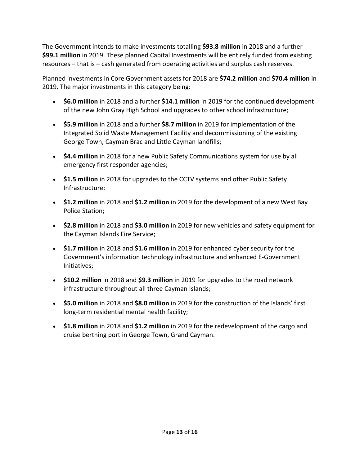The Government intends to make investments totalling **\$93.8 million** in 2018 and a further **\$99.1 million** in 2019. These planned Capital Investments will be entirely funded from existing resources – that is – cash generated from operating activities and surplus cash reserves.

Planned investments in Core Government assets for 2018 are **\$74.2 million** and **\$70.4 million** in 2019. The major investments in this category being:

- **\$6.0 million** in 2018 and a further **\$14.1 million** in 2019 for the continued development of the new John Gray High School and upgrades to other school infrastructure;
- **\$5.9 million** in 2018 and a further **\$8.7 million** in 2019 for implementation of the Integrated Solid Waste Management Facility and decommissioning of the existing George Town, Cayman Brac and Little Cayman landfills;
- **\$4.4 million** in 2018 for a new Public Safety Communications system for use by all emergency first responder agencies;
- **\$1.5 million** in 2018 for upgrades to the CCTV systems and other Public Safety Infrastructure;
- **\$1.2 million** in 2018 and **\$1.2 million** in 2019 for the development of a new West Bay Police Station;
- **\$2.8 million** in 2018 and **\$3.0 million** in 2019 for new vehicles and safety equipment for the Cayman Islands Fire Service;
- **\$1.7 million** in 2018 and **\$1.6 million** in 2019 for enhanced cyber security for the Government's information technology infrastructure and enhanced E-Government Initiatives;
- **\$10.2 million** in 2018 and **\$9.3 million** in 2019 for upgrades to the road network infrastructure throughout all three Cayman Islands;
- **\$5.0 million** in 2018 and **\$8.0 million** in 2019 for the construction of the Islands' first long-term residential mental health facility;
- **\$1.8 million** in 2018 and **\$1.2 million** in 2019 for the redevelopment of the cargo and cruise berthing port in George Town, Grand Cayman.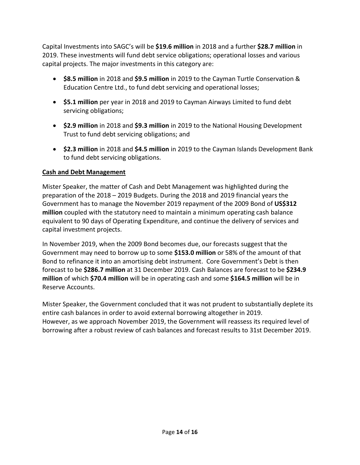Capital Investments into SAGC's will be **\$19.6 million** in 2018 and a further **\$28.7 million** in 2019. These investments will fund debt service obligations; operational losses and various capital projects. The major investments in this category are:

- **\$8.5 million** in 2018 and **\$9.5 million** in 2019 to the Cayman Turtle Conservation & Education Centre Ltd., to fund debt servicing and operational losses;
- **\$5.1 million** per year in 2018 and 2019 to Cayman Airways Limited to fund debt servicing obligations;
- **\$2.9 million** in 2018 and **\$9.3 million** in 2019 to the National Housing Development Trust to fund debt servicing obligations; and
- **\$2.3 million** in 2018 and **\$4.5 million** in 2019 to the Cayman Islands Development Bank to fund debt servicing obligations.

#### **Cash and Debt Management**

Mister Speaker, the matter of Cash and Debt Management was highlighted during the preparation of the 2018 – 2019 Budgets. During the 2018 and 2019 financial years the Government has to manage the November 2019 repayment of the 2009 Bond of **US\$312 million** coupled with the statutory need to maintain a minimum operating cash balance equivalent to 90 days of Operating Expenditure, and continue the delivery of services and capital investment projects.

In November 2019, when the 2009 Bond becomes due, our forecasts suggest that the Government may need to borrow up to some **\$153.0 million** or 58% of the amount of that Bond to refinance it into an amortising debt instrument. Core Government's Debt is then forecast to be **\$286.7 million** at 31 December 2019. Cash Balances are forecast to be **\$234.9 million** of which **\$70.4 million** will be in operating cash and some **\$164.5 million** will be in Reserve Accounts.

Mister Speaker, the Government concluded that it was not prudent to substantially deplete its entire cash balances in order to avoid external borrowing altogether in 2019. However, as we approach November 2019, the Government will reassess its required level of borrowing after a robust review of cash balances and forecast results to 31st December 2019.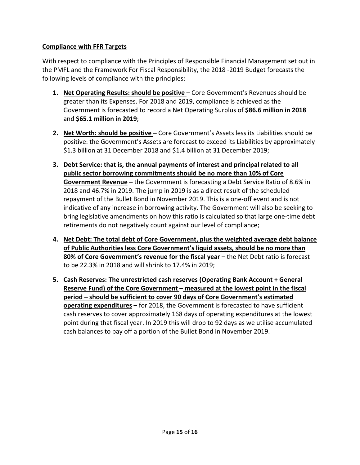#### **Compliance with FFR Targets**

With respect to compliance with the Principles of Responsible Financial Management set out in the PMFL and the Framework For Fiscal Responsibility, the 2018 -2019 Budget forecasts the following levels of compliance with the principles:

- **1. Net Operating Results: should be positive –** Core Government's Revenues should be greater than its Expenses. For 2018 and 2019, compliance is achieved as the Government is forecasted to record a Net Operating Surplus of **\$86.6 million in 2018** and **\$65.1 million in 2019**;
- **2. Net Worth: should be positive –** Core Government's Assets less its Liabilities should be positive: the Government's Assets are forecast to exceed its Liabilities by approximately \$1.3 billion at 31 December 2018 and \$1.4 billion at 31 December 2019;
- **3. Debt Service: that is, the annual payments of interest and principal related to all public sector borrowing commitments should be no more than 10% of Core Government Revenue –** the Government is forecasting a Debt Service Ratio of 8.6% in 2018 and 46.7% in 2019. The jump in 2019 is as a direct result of the scheduled repayment of the Bullet Bond in November 2019. This is a one-off event and is not indicative of any increase in borrowing activity. The Government will also be seeking to bring legislative amendments on how this ratio is calculated so that large one-time debt retirements do not negatively count against our level of compliance;
- **4. Net Debt: The total debt of Core Government, plus the weighted average debt balance of Public Authorities less Core Government's liquid assets, should be no more than 80% of Core Government's revenue for the fiscal year –** the Net Debt ratio is forecast to be 22.3% in 2018 and will shrink to 17.4% in 2019;
- **5. Cash Reserves: The unrestricted cash reserves (Operating Bank Account + General Reserve Fund) of the Core Government – measured at the lowest point in the fiscal period – should be sufficient to cover 90 days of Core Government's estimated operating expenditures –** for 2018, the Government is forecasted to have sufficient cash reserves to cover approximately 168 days of operating expenditures at the lowest point during that fiscal year. In 2019 this will drop to 92 days as we utilise accumulated cash balances to pay off a portion of the Bullet Bond in November 2019.